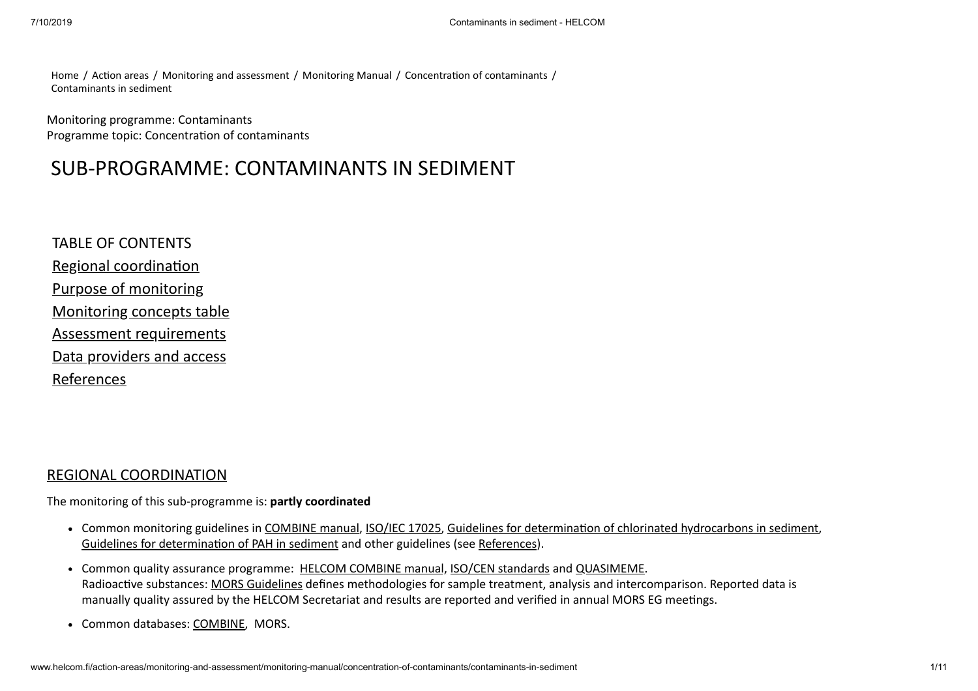[Home](http://www.helcom.fi/) / Action areas / [Monitoring and assessment](http://www.helcom.fi/action-areas/monitoring-and-assessment/) / [Monitoring Manual](http://www.helcom.fi/action-areas/monitoring-and-assessment/monitoring-manual/) / Concentration of contaminants / Contaminants in sediment

Monitoring programme: Contaminants Programme topic: Concentration of contaminants

# SUB-PROGRAMME: CONTAMINANTS IN SEDIMENT

TABLE OF CONTENTS Regional coordination [Purpose of monitoring](#page-1-0) [Monitoring concepts table](#page-2-0) [Assessment requirements](#page-7-0) [Data providers and access](#page-9-0) [References](#page-9-1)

### [REGIONAL COORDINATION](http://www.helcom.fi/action-areas/monitoring-and-assessment/monitoring-manual/concentration-of-contaminants/contaminants-in-sediment)

The monitoring of this sub-programme is: **partly coordinated**

- Common monitoring guidelines in [COMBINE manual,](http://www.helcom.fi/Documents/Action%20areas/Monitoring%20and%20assessment/Manuals%20and%20Guidelines/Manual%20for%20Marine%20Monitoring%20in%20the%20COMBINE%20Programme%20of%20HELCOM.pdf) [ISO/IEC 17025](http://www.iso.org/iso/home/store/catalogue_tc/catalogue_detail.htm?csnumber=39883), Guidelines for determination of chlorinated hydrocarbons in sediment, Guidelines for determination of PAH in sediment and other guidelines (see [References](#page-9-1)).
- Common quality assurance programme: [HELCOM COMBINE manual,](http://www.helcom.fi/Documents/Action%20areas/Monitoring%20and%20assessment/Manuals%20and%20Guidelines/Manual%20for%20Marine%20Monitoring%20in%20the%20COMBINE%20Programme%20of%20HELCOM.pdf) [ISO/CEN standards](http://www.iso.org/iso/home/store/catalogue_tc/catalogue_detail.htm?csnumber=39883) and [QUASIMEME.](http://www.quasimeme.org/) Radioactive substances: [MORS Guidelines](http://www.helcom.fi/Lists/Publications/Guidelines%20for%20Monitoring%20of%20Radioactive%20Substances.pdf) defines methodologies for sample treatment, analysis and intercomparison. Reported data is manually quality assured by the HELCOM Secretariat and results are reported and verified in annual MORS EG meetings.
- Common databases: [COMBINE,](http://ecosystemdata.ices.dk/inventory/index.aspx) MORS.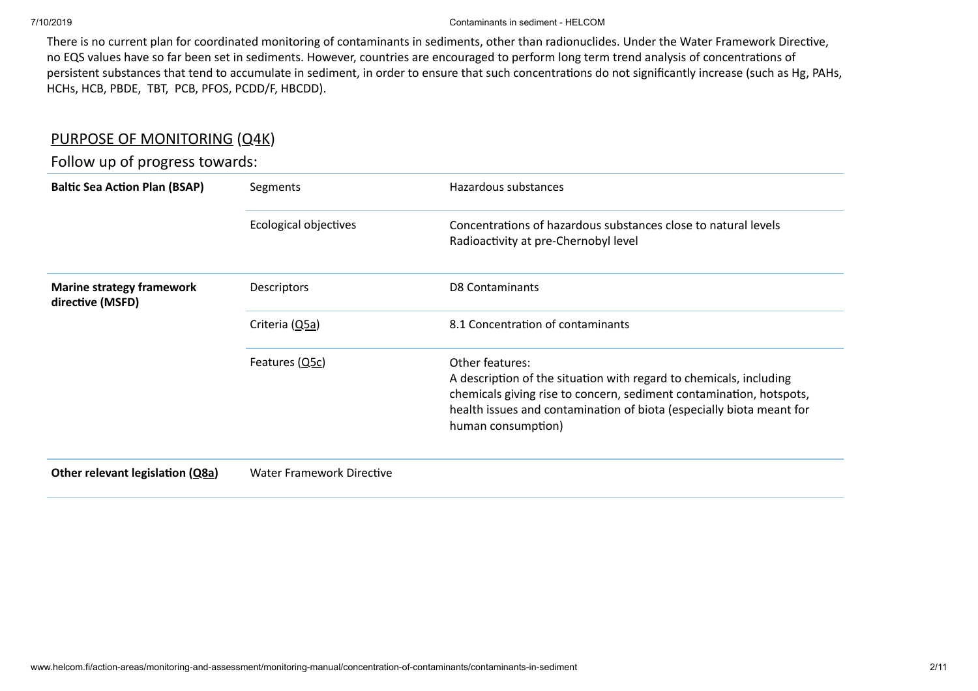There is no current plan for coordinated monitoring of contaminants in sediments, other than radionuclides. Under the Water Framework Directive, no EQS values have so far been set in sediments. However, countries are encouraged to perform long term trend analysis of concentrations of persistent substances that tend to accumulate in sediment, in order to ensure that such concentrations do not significantly increase (such as Hg, PAHs, HCHs, HCB, PBDE, TBT, PCB, PFOS, PCDD/F, HBCDD).

## <span id="page-1-0"></span>[PURPOSE OF MONITORING](http://www.helcom.fi/action-areas/monitoring-and-assessment/monitoring-manual/concentration-of-contaminants/action-areas/monitoring-and-assessment/monitoring-manual/concentration-of-contaminants/contaminants-in-sediment) [\(Q4K](http://www.helcom.fi/action-areas/monitoring-and-assessment/monitoring-manual/introduction#4k))

## Follow up of progress towards:

| <b>Baltic Sea Action Plan (BSAP)</b>                 | Segments                  | Hazardous substances                                                                                                                                                                                                                                       |  |  |
|------------------------------------------------------|---------------------------|------------------------------------------------------------------------------------------------------------------------------------------------------------------------------------------------------------------------------------------------------------|--|--|
|                                                      | Ecological objectives     | Concentrations of hazardous substances close to natural levels<br>Radioactivity at pre-Chernobyl level                                                                                                                                                     |  |  |
| <b>Marine strategy framework</b><br>directive (MSFD) | <b>Descriptors</b>        | <b>D8 Contaminants</b>                                                                                                                                                                                                                                     |  |  |
|                                                      | Criteria (Q5a)            | 8.1 Concentration of contaminants                                                                                                                                                                                                                          |  |  |
|                                                      | Features $(Q5c)$          | Other features:<br>A description of the situation with regard to chemicals, including<br>chemicals giving rise to concern, sediment contamination, hotspots,<br>health issues and contamination of biota (especially biota meant for<br>human consumption) |  |  |
| Other relevant legislation (Q8a)                     | Water Framework Directive |                                                                                                                                                                                                                                                            |  |  |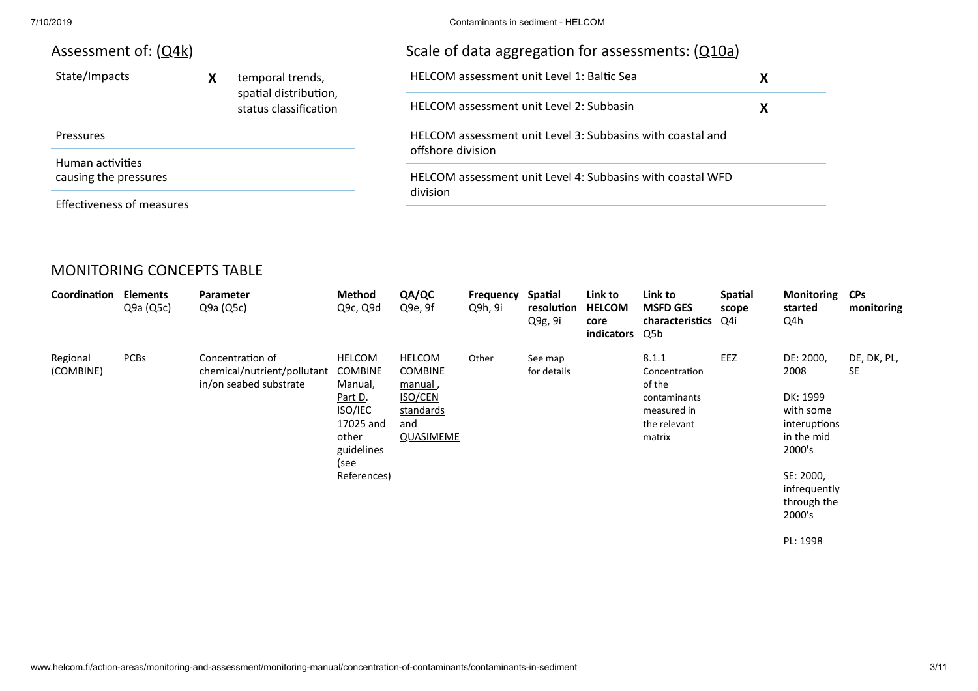#### 7/10/2019 Contaminants in sediment - HELCOM

| Assessment of: ( <u>Q4k</u> ) |                  |
|-------------------------------|------------------|
| State/Impacts                 | temporal trends, |

|                                           | spatial distribution,<br>status classification |
|-------------------------------------------|------------------------------------------------|
| Pressures                                 |                                                |
| Human activities<br>causing the pressures |                                                |

| Scale of data aggregation for assessments: (Q10a)                               |   |
|---------------------------------------------------------------------------------|---|
| <b>HELCOM</b> assessment unit Level 1: Baltic Sea                               | x |
| HELCOM assessment unit Level 2: Subbasin                                        | x |
| HELCOM assessment unit Level 3: Subbasins with coastal and<br>offshore division |   |
| HELCOM assessment unit Level 4: Subbasins with coastal WED<br>division          |   |

<span id="page-2-0"></span>[MONITORING CONCEPTS TABLE](http://www.helcom.fi/action-areas/monitoring-and-assessment/monitoring-manual/concentration-of-contaminants/action-areas/monitoring-and-assessment/monitoring-manual/concentration-of-contaminants/contaminants-in-sediment)

Effectiveness of measures

| Coordination          | Elements<br>Q9a(Q5c) | Parameter<br>Q9a (Q5c)                                                            | <b>Method</b><br>Q <sub>9c</sub> , Q <sub>9d</sub>                                         | QA/QC<br>Q <sub>9e</sub> , 9f                                                                         | <b>Frequency</b><br><u>Q9h, 9i</u> | Spatial<br>resolution<br>Q9g, 9i | Link to<br><b>HELCOM</b><br>core<br>indicators | Link to<br><b>MSFD GES</b><br>characteristics<br><u>Q5b</u>                               | <b>Spatial</b><br>scope<br><u>Q4i</u> | <b>Monitoring</b><br>started<br><u>Q4h</u>                                         | <b>CPs</b><br>monitoring |
|-----------------------|----------------------|-----------------------------------------------------------------------------------|--------------------------------------------------------------------------------------------|-------------------------------------------------------------------------------------------------------|------------------------------------|----------------------------------|------------------------------------------------|-------------------------------------------------------------------------------------------|---------------------------------------|------------------------------------------------------------------------------------|--------------------------|
| Regional<br>(COMBINE) | <b>PCBs</b>          | Concentration of<br>chemical/nutrient/pollutant COMBINE<br>in/on seabed substrate | <b>HELCOM</b><br>Manual,<br>Part D.<br>ISO/IEC<br>17025 and<br>other<br>guidelines<br>(see | <b>HELCOM</b><br><b>COMBINE</b><br><u>manual</u> ,<br><b>ISO/CEN</b><br>standards<br>and<br>QUASIMEME | Other                              | See map<br>for details           |                                                | 8.1.1<br>Concentration<br>of the<br>contaminants<br>measured in<br>the relevant<br>matrix | EEZ                                   | DE: 2000,<br>2008<br>DK: 1999<br>with some<br>interuptions<br>in the mid<br>2000's | DE, DK, PL,<br><b>SE</b> |
|                       |                      |                                                                                   | References)                                                                                |                                                                                                       |                                    |                                  |                                                |                                                                                           |                                       | SE: 2000,<br>infrequently<br>through the<br>2000's                                 |                          |

PL: 1998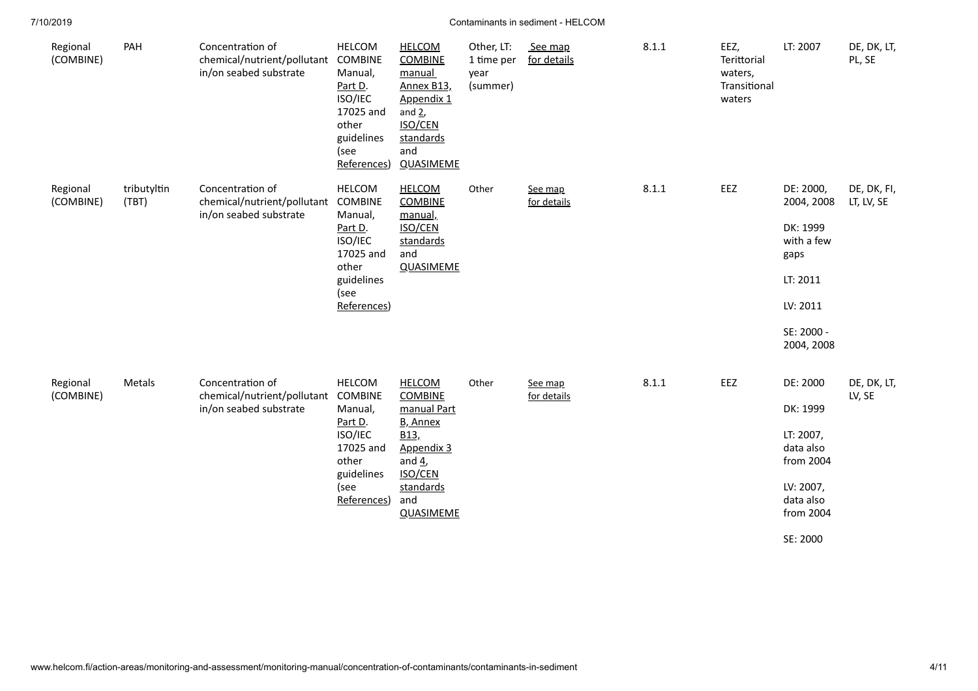| Regional<br>(COMBINE) | PAH                  | Concentration of<br>chemical/nutrient/pollutant<br>in/on seabed substrate | <b>HELCOM</b><br>COMBINE<br>Manual,<br>Part D.<br>ISO/IEC<br>17025 and<br>other<br>guidelines<br>(see<br>References) | <b>HELCOM</b><br><b>COMBINE</b><br>manual<br>Annex B13,<br>Appendix 1<br>and $2$ ,<br><b>ISO/CEN</b><br>standards<br>and<br><b>QUASIMEME</b> | Other, LT:<br>1 time per<br>year<br>(summer) | See map<br>for details | 8.1.1 | EEZ,<br>Terittorial<br>waters,<br>Transitional<br>waters | LT: 2007                            | DE, DK, LT,<br>PL, SE     |
|-----------------------|----------------------|---------------------------------------------------------------------------|----------------------------------------------------------------------------------------------------------------------|----------------------------------------------------------------------------------------------------------------------------------------------|----------------------------------------------|------------------------|-------|----------------------------------------------------------|-------------------------------------|---------------------------|
| Regional<br>(COMBINE) | tributyltin<br>(TBT) | Concentration of<br>chemical/nutrient/pollutant<br>in/on seabed substrate | <b>HELCOM</b><br>COMBINE<br>Manual,<br>Part D.                                                                       | <b>HELCOM</b><br><b>COMBINE</b><br>manual,<br><b>ISO/CEN</b>                                                                                 | Other                                        | See map<br>for details | 8.1.1 | EEZ                                                      | DE: 2000,<br>2004, 2008<br>DK: 1999 | DE, DK, FI,<br>LT, LV, SE |
|                       |                      |                                                                           | ISO/IEC<br>17025 and<br>other                                                                                        | standards<br>and<br><b>QUASIMEME</b>                                                                                                         |                                              |                        |       |                                                          | with a few<br>gaps                  |                           |
|                       |                      |                                                                           | guidelines                                                                                                           |                                                                                                                                              |                                              |                        |       |                                                          | LT: 2011                            |                           |
|                       |                      |                                                                           | (see<br>References)                                                                                                  |                                                                                                                                              |                                              |                        |       |                                                          | LV: 2011                            |                           |
|                       |                      |                                                                           |                                                                                                                      |                                                                                                                                              |                                              |                        |       |                                                          | SE: 2000 -<br>2004, 2008            |                           |
| Regional<br>(COMBINE) | Metals               | Concentration of<br>chemical/nutrient/pollutant                           | <b>HELCOM</b><br><b>COMBINE</b>                                                                                      | <b>HELCOM</b><br><b>COMBINE</b>                                                                                                              | Other                                        | See map<br>for details | 8.1.1 | EEZ                                                      | DE: 2000                            | DE, DK, LT,<br>LV, SE     |
|                       |                      | in/on seabed substrate                                                    | Manual,                                                                                                              | manual Part                                                                                                                                  |                                              |                        |       |                                                          | DK: 1999                            |                           |
|                       |                      |                                                                           | Part D.<br>ISO/IEC<br>17025 and                                                                                      | B, Annex<br>B13,<br>Appendix 3                                                                                                               |                                              |                        |       |                                                          | LT: 2007,<br>data also              |                           |
|                       |                      |                                                                           | other<br>guidelines                                                                                                  | and $4$<br><b>ISO/CEN</b>                                                                                                                    |                                              |                        |       |                                                          | from 2004                           |                           |
|                       |                      |                                                                           | (see                                                                                                                 | standards                                                                                                                                    |                                              |                        |       |                                                          | LV: 2007,                           |                           |
|                       |                      |                                                                           | References)                                                                                                          | and<br><b>QUASIMEME</b>                                                                                                                      |                                              |                        |       |                                                          | data also<br>from 2004              |                           |
|                       |                      |                                                                           |                                                                                                                      |                                                                                                                                              |                                              |                        |       |                                                          | SE: 2000                            |                           |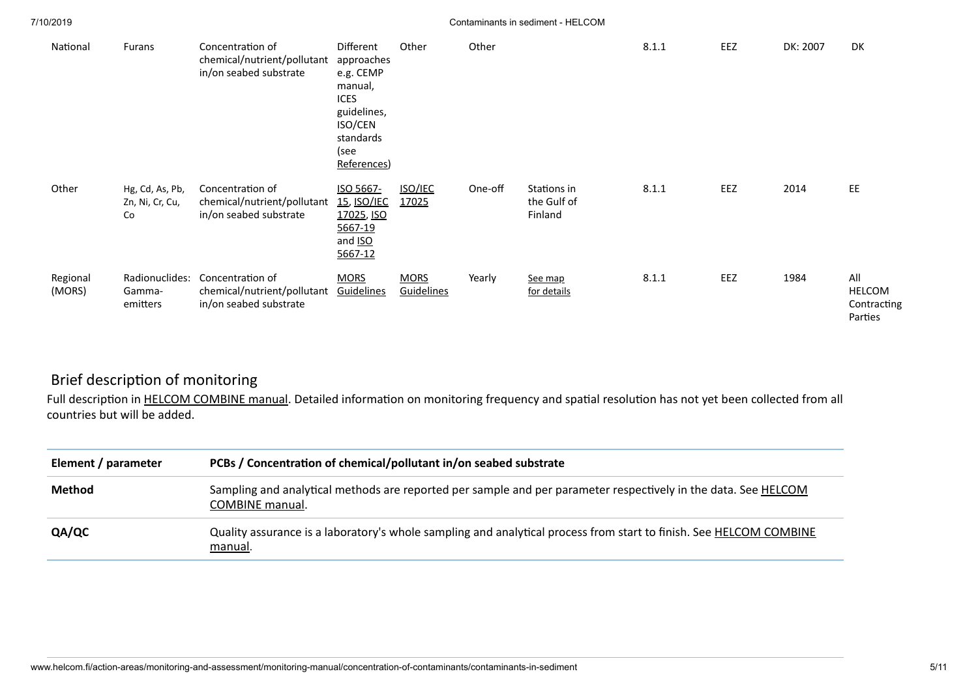| National           | Furans                                   | Concentration of<br>chemical/nutrient/pollutant<br>in/on seabed substrate | Different<br>approaches<br>e.g. CEMP<br>manual,<br><b>ICES</b><br>guidelines,<br>ISO/CEN<br>standards<br>(see<br>References) | Other                     | Other   |                                       | 8.1.1 | EEZ | DK: 2007 | DK                                             |
|--------------------|------------------------------------------|---------------------------------------------------------------------------|------------------------------------------------------------------------------------------------------------------------------|---------------------------|---------|---------------------------------------|-------|-----|----------|------------------------------------------------|
| Other              | Hg, Cd, As, Pb,<br>Zn, Ni, Cr, Cu,<br>Co | Concentration of<br>chemical/nutrient/pollutant<br>in/on seabed substrate | ISO 5667-<br><b>15, ISO/IEC</b><br>17025, ISO<br>5667-19<br>and ISO<br>5667-12                                               | <b>ISO/IEC</b><br>17025   | One-off | Stations in<br>the Gulf of<br>Finland | 8.1.1 | EEZ | 2014     | EE                                             |
| Regional<br>(MORS) | Radionuclides:<br>Gamma-<br>emitters     | Concentration of<br>chemical/nutrient/pollutant<br>in/on seabed substrate | <b>MORS</b><br>Guidelines                                                                                                    | <b>MORS</b><br>Guidelines | Yearly  | See map<br>for details                | 8.1.1 | EEZ | 1984     | All<br><b>HELCOM</b><br>Contracting<br>Parties |

## Brief description of monitoring

Full description in [HELCOM COMBINE manual.](http://www.helcom.fi/Documents/Action%20areas/Monitoring%20and%20assessment/Manuals%20and%20Guidelines/Manual%20for%20Marine%20Monitoring%20in%20the%20COMBINE%20Programme%20of%20HELCOM.pdf) Detailed information on monitoring frequency and spatial resolution has not yet been collected from all countries but will be added.

| Element / parameter | PCBs / Concentration of chemical/pollutant in/on seabed substrate                                                                    |
|---------------------|--------------------------------------------------------------------------------------------------------------------------------------|
| <b>Method</b>       | Sampling and analytical methods are reported per sample and per parameter respectively in the data. See HELCOM<br>COMBINE manual.    |
| QA/QC               | Quality assurance is a laboratory's whole sampling and analytical process from start to finish. See <b>HELCOM COMBINE</b><br>manual. |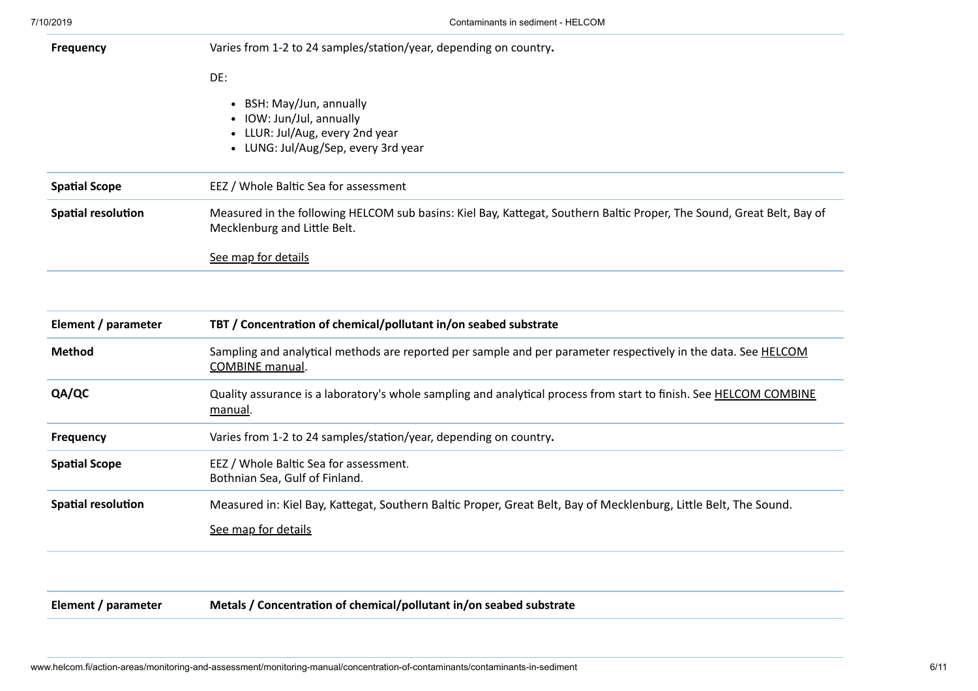| Element / parameter       | TBT / Concentration of chemical/pollutant in/on seabed substrate                                                                                       |
|---------------------------|--------------------------------------------------------------------------------------------------------------------------------------------------------|
|                           |                                                                                                                                                        |
|                           | See map for details                                                                                                                                    |
| <b>Spatial resolution</b> | Measured in the following HELCOM sub basins: Kiel Bay, Kattegat, Southern Baltic Proper, The Sound, Great Belt, Bay of<br>Mecklenburg and Little Belt. |
| <b>Spatial Scope</b>      | EEZ / Whole Baltic Sea for assessment                                                                                                                  |
|                           | • BSH: May/Jun, annually<br>• IOW: Jun/Jul, annually<br>• LLUR: Jul/Aug, every 2nd year<br>• LUNG: Jul/Aug/Sep, every 3rd year                         |
|                           | DE:                                                                                                                                                    |
| <b>Frequency</b>          | Varies from 1-2 to 24 samples/station/year, depending on country.                                                                                      |

| <b>Method</b>             | Sampling and analytical methods are reported per sample and per parameter respectively in the data. See HELCOM<br>COMBINE manual.            |
|---------------------------|----------------------------------------------------------------------------------------------------------------------------------------------|
| QA/QC                     | Quality assurance is a laboratory's whole sampling and analytical process from start to finish. See <b>HELCOM COMBINE</b><br><u>manual</u> . |
| <b>Frequency</b>          | Varies from 1-2 to 24 samples/station/year, depending on country.                                                                            |
| <b>Spatial Scope</b>      | EEZ / Whole Baltic Sea for assessment.<br>Bothnian Sea, Gulf of Finland.                                                                     |
| <b>Spatial resolution</b> | Measured in: Kiel Bay, Kattegat, Southern Baltic Proper, Great Belt, Bay of Mecklenburg, Little Belt, The Sound.<br>See map for details      |
|                           |                                                                                                                                              |

**Element** / parameter **Metals** / Concentration of chemical/pollutant in/on seabed substrate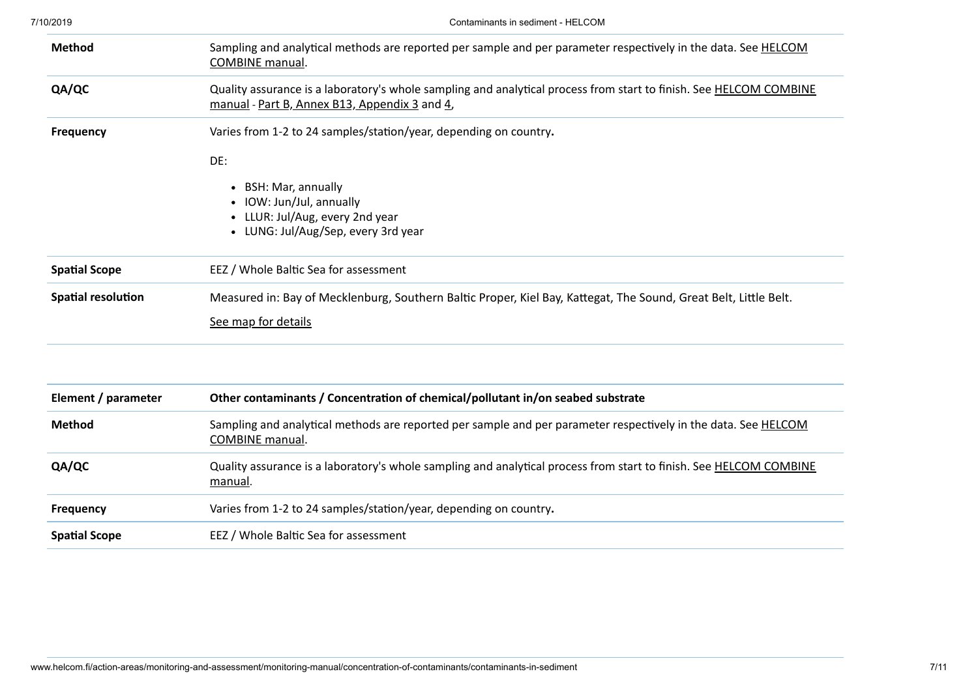| <b>Method</b>             | Sampling and analytical methods are reported per sample and per parameter respectively in the data. See <b>HELCOM</b><br><b>COMBINE</b> manual.                     |
|---------------------------|---------------------------------------------------------------------------------------------------------------------------------------------------------------------|
| QA/QC                     | Quality assurance is a laboratory's whole sampling and analytical process from start to finish. See HELCOM COMBINE<br>manual - Part B, Annex B13, Appendix 3 and 4, |
| <b>Frequency</b>          | Varies from 1-2 to 24 samples/station/year, depending on country.                                                                                                   |
|                           | DE:<br>• BSH: Mar, annually<br>IOW: Jun/Jul, annually<br>LLUR: Jul/Aug, every 2nd year<br>$\bullet$<br>• LUNG: Jul/Aug/Sep, every 3rd year                          |
| <b>Spatial Scope</b>      | EEZ / Whole Baltic Sea for assessment                                                                                                                               |
| <b>Spatial resolution</b> | Measured in: Bay of Mecklenburg, Southern Baltic Proper, Kiel Bay, Kattegat, The Sound, Great Belt, Little Belt.<br>See map for details                             |
|                           |                                                                                                                                                                     |
| Element / parameter       | Other contaminants / Concentration of chemical/pollutant in/on seabed substrate                                                                                     |
| <b>Method</b>             | Sampling and analytical methods are reported per sample and per parameter respectively in the data. See HELCOM<br>$CORADIRIF$ $meas$                                |

| ciement / parameter  | Other contaminants / Concentration of chemical/pollutant in/on seabed substrate                                                      |
|----------------------|--------------------------------------------------------------------------------------------------------------------------------------|
| <b>Method</b>        | Sampling and analytical methods are reported per sample and per parameter respectively in the data. See HELCOM<br>COMBINE manual.    |
| QA/QC                | Quality assurance is a laboratory's whole sampling and analytical process from start to finish. See <b>HELCOM COMBINE</b><br>manual. |
| <b>Frequency</b>     | Varies from 1-2 to 24 samples/station/year, depending on country.                                                                    |
| <b>Spatial Scope</b> | EEZ / Whole Baltic Sea for assessment                                                                                                |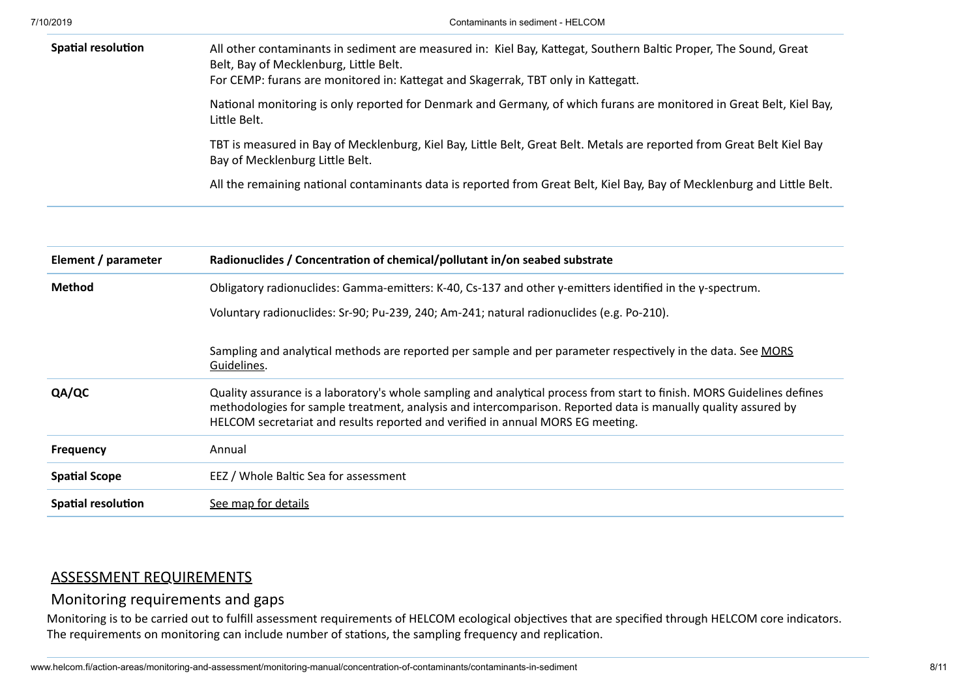| <b>Spatial resolution</b> | All other contaminants in sediment are measured in: Kiel Bay, Kattegat, Southern Baltic Proper, The Sound, Great<br>Belt, Bay of Mecklenburg, Little Belt.<br>For CEMP: furans are monitored in: Kattegat and Skagerrak, TBT only in Kattegatt. |
|---------------------------|-------------------------------------------------------------------------------------------------------------------------------------------------------------------------------------------------------------------------------------------------|
|                           | National monitoring is only reported for Denmark and Germany, of which furans are monitored in Great Belt, Kiel Bay,<br>Little Belt.                                                                                                            |
|                           | TBT is measured in Bay of Mecklenburg, Kiel Bay, Little Belt, Great Belt. Metals are reported from Great Belt Kiel Bay<br>Bay of Mecklenburg Little Belt.                                                                                       |
|                           | All the remaining national contaminants data is reported from Great Belt, Kiel Bay, Bay of Mecklenburg and Little Belt.                                                                                                                         |

| Element / parameter       | Radionuclides / Concentration of chemical/pollutant in/on seabed substrate                                                                                                                                                                                                                                                   |
|---------------------------|------------------------------------------------------------------------------------------------------------------------------------------------------------------------------------------------------------------------------------------------------------------------------------------------------------------------------|
| <b>Method</b>             | Obligatory radionuclides: Gamma-emitters: K-40, Cs-137 and other $\gamma$ -emitters identified in the $\gamma$ -spectrum.                                                                                                                                                                                                    |
|                           | Voluntary radionuclides: Sr-90; Pu-239, 240; Am-241; natural radionuclides (e.g. Po-210).                                                                                                                                                                                                                                    |
|                           | Sampling and analytical methods are reported per sample and per parameter respectively in the data. See MORS<br>Guidelines.                                                                                                                                                                                                  |
| QA/QC                     | Quality assurance is a laboratory's whole sampling and analytical process from start to finish. MORS Guidelines defines<br>methodologies for sample treatment, analysis and intercomparison. Reported data is manually quality assured by<br>HELCOM secretariat and results reported and verified in annual MORS EG meeting. |
| <b>Frequency</b>          | Annual                                                                                                                                                                                                                                                                                                                       |
| <b>Spatial Scope</b>      | EEZ / Whole Baltic Sea for assessment                                                                                                                                                                                                                                                                                        |
| <b>Spatial resolution</b> | See map for details                                                                                                                                                                                                                                                                                                          |

### <span id="page-7-0"></span>[ASSESSMENT REQUIREMENTS](http://www.helcom.fi/action-areas/monitoring-and-assessment/monitoring-manual/concentration-of-contaminants/action-areas/monitoring-and-assessment/monitoring-manual/concentration-of-contaminants/contaminants-in-sediment)

## Monitoring requirements and gaps

Monitoring is to be carried out to fulfill assessment requirements of HELCOM ecological objectives that are specified through HELCOM core indicators. The requirements on monitoring can include number of stations, the sampling frequency and replication.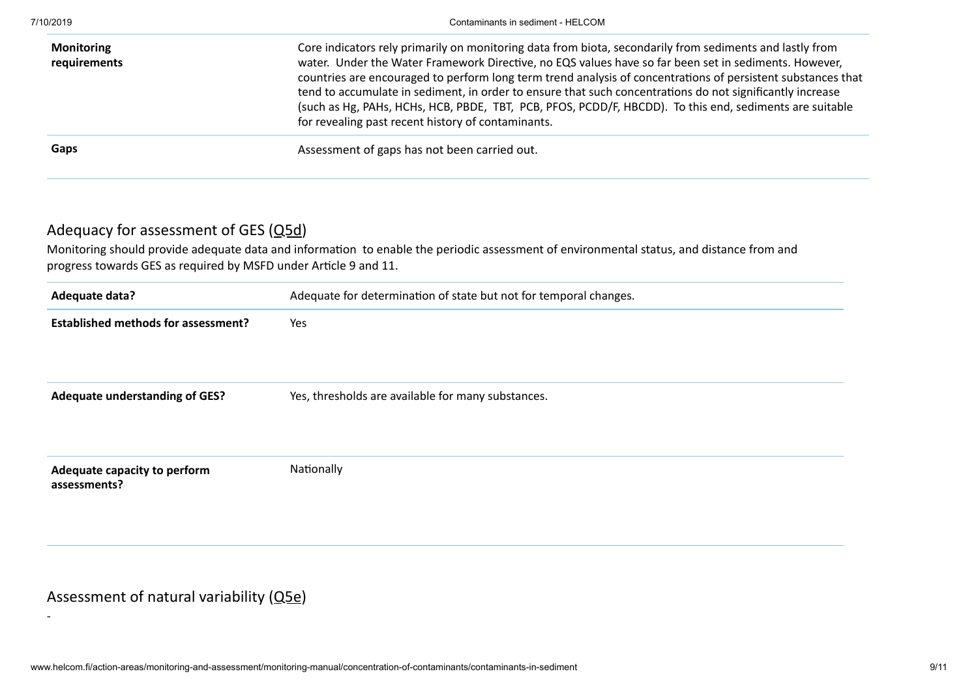-

| <b>Monitoring</b><br>requirements | Core indicators rely primarily on monitoring data from biota, secondarily from sediments and lastly from<br>water. Under the Water Framework Directive, no EQS values have so far been set in sediments. However,<br>countries are encouraged to perform long term trend analysis of concentrations of persistent substances that<br>tend to accumulate in sediment, in order to ensure that such concentrations do not significantly increase<br>(such as Hg, PAHs, HCHs, HCB, PBDE, TBT, PCB, PFOS, PCDD/F, HBCDD). To this end, sediments are suitable<br>for revealing past recent history of contaminants. |
|-----------------------------------|-----------------------------------------------------------------------------------------------------------------------------------------------------------------------------------------------------------------------------------------------------------------------------------------------------------------------------------------------------------------------------------------------------------------------------------------------------------------------------------------------------------------------------------------------------------------------------------------------------------------|
| Gaps                              | Assessment of gaps has not been carried out.                                                                                                                                                                                                                                                                                                                                                                                                                                                                                                                                                                    |

## Adequacy for assessment of GES  $(Q5d)$

Monitoring should provide adequate data and information to enable the periodic assessment of environmental status, and distance from and progress towards GES as required by MSFD under Article 9 and 11.

| Adequate data?                               | Adequate for determination of state but not for temporal changes. |
|----------------------------------------------|-------------------------------------------------------------------|
| <b>Established methods for assessment?</b>   | Yes                                                               |
|                                              |                                                                   |
|                                              |                                                                   |
| <b>Adequate understanding of GES?</b>        | Yes, thresholds are available for many substances.                |
|                                              |                                                                   |
|                                              |                                                                   |
| Adequate capacity to perform<br>assessments? | Nationally                                                        |
|                                              |                                                                   |
|                                              |                                                                   |

## Assessment of natural variability [\(Q5e](http://www.helcom.fi/action-areas/monitoring-and-assessment/monitoring-manual/introduction#5e))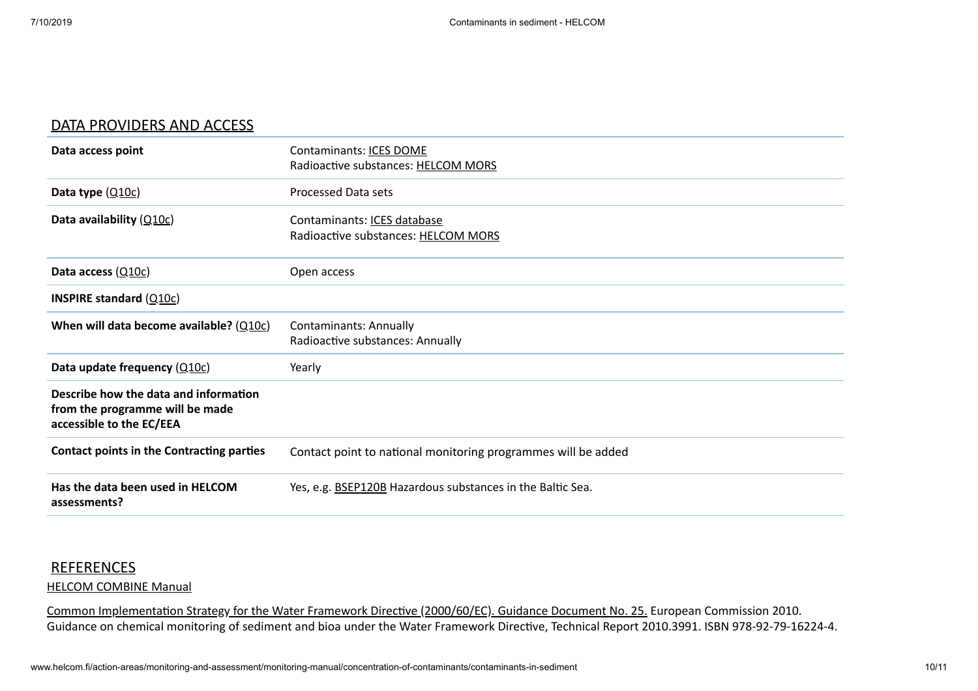#### <span id="page-9-0"></span>[DATA PROVIDERS AND ACCESS](http://www.helcom.fi/action-areas/monitoring-and-assessment/monitoring-manual/concentration-of-contaminants/action-areas/monitoring-and-assessment/monitoring-manual/concentration-of-contaminants/contaminants-in-sediment)

| Data access point                                                                                    | Contaminants: <b>ICES DOME</b><br>Radioactive substances: HELCOM MORS |
|------------------------------------------------------------------------------------------------------|-----------------------------------------------------------------------|
| Data type $(Q10c)$                                                                                   | Processed Data sets                                                   |
| Data availability $(Q10c)$                                                                           | Contaminants: ICES database<br>Radioactive substances: HELCOM MORS    |
| Data access (Q10c)                                                                                   | Open access                                                           |
| <b>INSPIRE standard (<math>Q10c</math>)</b>                                                          |                                                                       |
| When will data become available? $(Q10c)$                                                            | <b>Contaminants: Annually</b><br>Radioactive substances: Annually     |
| Data update frequency $(Q10c)$                                                                       | Yearly                                                                |
| Describe how the data and information<br>from the programme will be made<br>accessible to the EC/EEA |                                                                       |
| Contact points in the Contracting parties                                                            | Contact point to national monitoring programmes will be added         |
| Has the data been used in HELCOM<br>assessments?                                                     | Yes, e.g. <b>BSEP120B</b> Hazardous substances in the Baltic Sea.     |

#### <span id="page-9-1"></span>**[REFERENCES](http://www.helcom.fi/action-areas/monitoring-and-assessment/monitoring-manual/concentration-of-contaminants/action-areas/monitoring-and-assessment/monitoring-manual/concentration-of-contaminants/contaminants-in-sediment)**

#### [HELCOM COMBINE Manual](http://www.helcom.fi/Documents/Action%20areas/Monitoring%20and%20assessment/Manuals%20and%20Guidelines/Manual%20for%20Marine%20Monitoring%20in%20the%20COMBINE%20Programme%20of%20HELCOM.pdf)

Common Implementation Strategy for the Water Framework Directive (2000/60/EC). Guidance Document No. 25. European Commission 2010. Guidance on chemical monitoring of sediment and bioa under the Water Framework Directive, Technical Report 2010.3991. ISBN 978-92-79-16224-4.